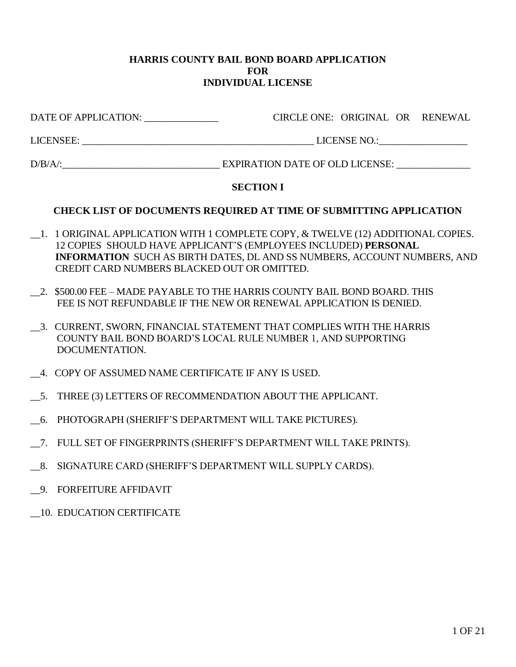#### **HARRIS COUNTY BAIL BOND BOARD APPLICATION FOR INDIVIDUAL LICENSE**

| DATE OF APPLICATION: | CIRCLE ONE: ORIGINAL OR RENEWAL |  |
|----------------------|---------------------------------|--|
| LICENSEE:            | LICENSE NO.:                    |  |

D/B/A/:\_\_\_\_\_\_\_\_\_\_\_\_\_\_\_\_\_\_\_\_\_\_\_\_\_\_\_\_\_\_\_\_ EXPIRATION DATE OF OLD LICENSE: \_\_\_\_\_\_\_\_\_\_\_\_\_\_\_

# **SECTION I**

# **CHECK LIST OF DOCUMENTS REQUIRED AT TIME OF SUBMITTING APPLICATION**

- \_\_1. 1 ORIGINAL APPLICATION WITH 1 COMPLETE COPY, & TWELVE (12) ADDITIONAL COPIES. 12 COPIES SHOULD HAVE APPLICANT'S (EMPLOYEES INCLUDED) **PERSONAL INFORMATION** SUCH AS BIRTH DATES, DL AND SS NUMBERS, ACCOUNT NUMBERS, AND CREDIT CARD NUMBERS BLACKED OUT OR OMITTED.
- \_\_2. \$500.00 FEE MADE PAYABLE TO THE HARRIS COUNTY BAIL BOND BOARD. THIS FEE IS NOT REFUNDABLE IF THE NEW OR RENEWAL APPLICATION IS DENIED.
- \_\_3. CURRENT, SWORN, FINANCIAL STATEMENT THAT COMPLIES WITH THE HARRIS COUNTY BAIL BOND BOARD'S LOCAL RULE NUMBER 1, AND SUPPORTING DOCUMENTATION.
- \_\_4. COPY OF ASSUMED NAME CERTIFICATE IF ANY IS USED.
- \_\_5. THREE (3) LETTERS OF RECOMMENDATION ABOUT THE APPLICANT.
- \_\_6. PHOTOGRAPH (SHERIFF'S DEPARTMENT WILL TAKE PICTURES).
- \_\_7. FULL SET OF FINGERPRINTS (SHERIFF'S DEPARTMENT WILL TAKE PRINTS).
- \_\_8. SIGNATURE CARD (SHERIFF'S DEPARTMENT WILL SUPPLY CARDS).
- \_\_9. FORFEITURE AFFIDAVIT
- \_\_10. EDUCATION CERTIFICATE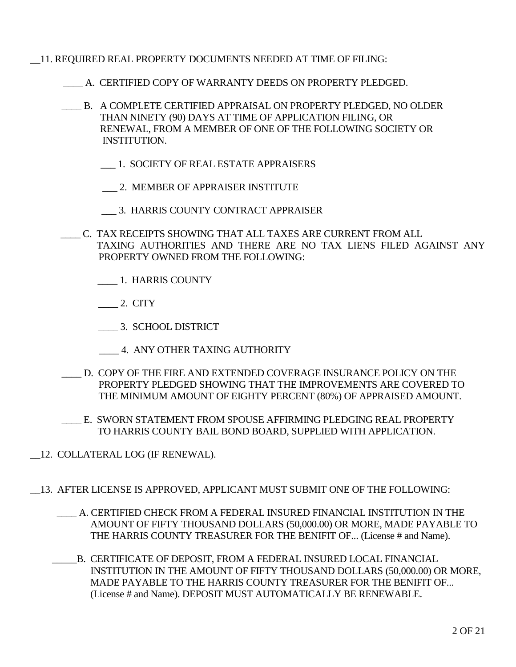- \_\_11. REQUIRED REAL PROPERTY DOCUMENTS NEEDED AT TIME OF FILING:
	- \_\_\_\_ A. CERTIFIED COPY OF WARRANTY DEEDS ON PROPERTY PLEDGED.
	- \_\_\_\_ B. A COMPLETE CERTIFIED APPRAISAL ON PROPERTY PLEDGED, NO OLDER THAN NINETY (90) DAYS AT TIME OF APPLICATION FILING, OR RENEWAL, FROM A MEMBER OF ONE OF THE FOLLOWING SOCIETY OR INSTITUTION.
		- \_\_\_ 1. SOCIETY OF REAL ESTATE APPRAISERS
		- \_\_\_ 2. MEMBER OF APPRAISER INSTITUTE
		- \_\_\_ 3. HARRIS COUNTY CONTRACT APPRAISER
	- \_\_\_\_ C. TAX RECEIPTS SHOWING THAT ALL TAXES ARE CURRENT FROM ALL TAXING AUTHORITIES AND THERE ARE NO TAX LIENS FILED AGAINST ANY PROPERTY OWNED FROM THE FOLLOWING:
		- \_\_\_\_ 1. HARRIS COUNTY
		- $\_\_\_\$ 2. CITY
		- \_\_\_\_ 3. SCHOOL DISTRICT
		- \_\_\_\_ 4. ANY OTHER TAXING AUTHORITY
	- \_\_\_\_ D. COPY OF THE FIRE AND EXTENDED COVERAGE INSURANCE POLICY ON THE PROPERTY PLEDGED SHOWING THAT THE IMPROVEMENTS ARE COVERED TO THE MINIMUM AMOUNT OF EIGHTY PERCENT (80%) OF APPRAISED AMOUNT.
	- \_\_\_\_ E. SWORN STATEMENT FROM SPOUSE AFFIRMING PLEDGING REAL PROPERTY TO HARRIS COUNTY BAIL BOND BOARD, SUPPLIED WITH APPLICATION.
- \_\_12. COLLATERAL LOG (IF RENEWAL).
- \_\_13. AFTER LICENSE IS APPROVED, APPLICANT MUST SUBMIT ONE OF THE FOLLOWING:
	- \_\_\_\_ A. CERTIFIED CHECK FROM A FEDERAL INSURED FINANCIAL INSTITUTION IN THE AMOUNT OF FIFTY THOUSAND DOLLARS (50,000.00) OR MORE, MADE PAYABLE TO THE HARRIS COUNTY TREASURER FOR THE BENIFIT OF... (License # and Name).
	- \_\_\_\_\_B. CERTIFICATE OF DEPOSIT, FROM A FEDERAL INSURED LOCAL FINANCIAL INSTITUTION IN THE AMOUNT OF FIFTY THOUSAND DOLLARS (50,000.00) OR MORE, MADE PAYABLE TO THE HARRIS COUNTY TREASURER FOR THE BENIFIT OF... (License # and Name). DEPOSIT MUST AUTOMATICALLY BE RENEWABLE.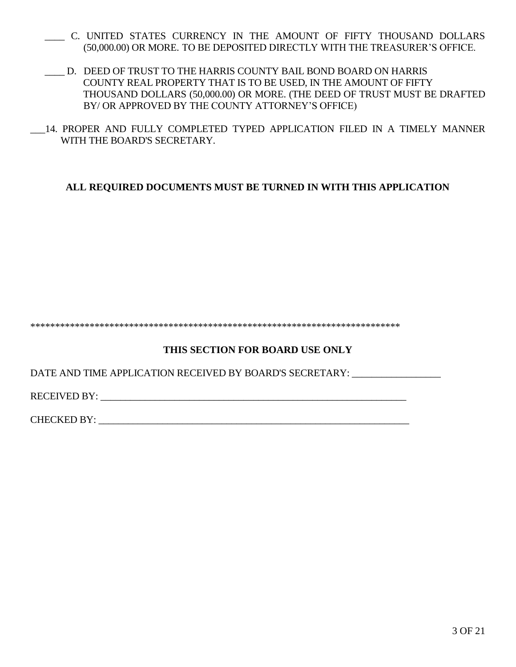- \_\_\_\_ C. UNITED STATES CURRENCY IN THE AMOUNT OF FIFTY THOUSAND DOLLARS (50,000.00) OR MORE. TO BE DEPOSITED DIRECTLY WITH THE TREASURER'S OFFICE.
- \_\_\_\_ D. DEED OF TRUST TO THE HARRIS COUNTY BAIL BOND BOARD ON HARRIS COUNTY REAL PROPERTY THAT IS TO BE USED, IN THE AMOUNT OF FIFTY THOUSAND DOLLARS (50,000.00) OR MORE. (THE DEED OF TRUST MUST BE DRAFTED BY/ OR APPROVED BY THE COUNTY ATTORNEY'S OFFICE)
- \_\_\_14. PROPER AND FULLY COMPLETED TYPED APPLICATION FILED IN A TIMELY MANNER WITH THE BOARD'S SECRETARY.

# **ALL REQUIRED DOCUMENTS MUST BE TURNED IN WITH THIS APPLICATION**

\*\*\*\*\*\*\*\*\*\*\*\*\*\*\*\*\*\*\*\*\*\*\*\*\*\*\*\*\*\*\*\*\*\*\*\*\*\*\*\*\*\*\*\*\*\*\*\*\*\*\*\*\*\*\*\*\*\*\*\*\*\*\*\*\*\*\*\*\*\*\*\*\*\*\*

# **THIS SECTION FOR BOARD USE ONLY**

DATE AND TIME APPLICATION RECEIVED BY BOARD'S SECRETARY: \_\_\_\_\_\_\_\_\_\_\_\_\_\_\_\_\_\_\_\_\_\_\_

RECEIVED BY: \_\_\_\_\_\_\_\_\_\_\_\_\_\_\_\_\_\_\_\_\_\_\_\_\_\_\_\_\_\_\_\_\_\_\_\_\_\_\_\_\_\_\_\_\_\_\_\_\_\_\_\_\_\_\_\_\_\_\_\_\_\_

CHECKED BY: \_\_\_\_\_\_\_\_\_\_\_\_\_\_\_\_\_\_\_\_\_\_\_\_\_\_\_\_\_\_\_\_\_\_\_\_\_\_\_\_\_\_\_\_\_\_\_\_\_\_\_\_\_\_\_\_\_\_\_\_\_\_\_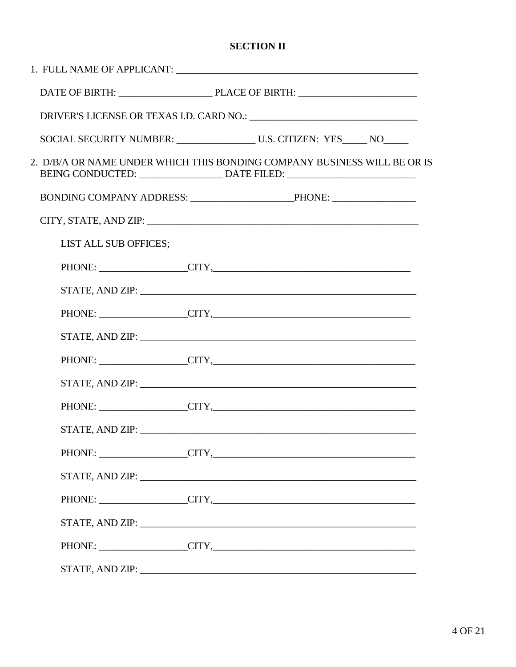# **SECTION II**

|                       | SOCIAL SECURITY NUMBER: U.S. CITIZEN: YES_____ NO____                                                                                                                                                                          |
|-----------------------|--------------------------------------------------------------------------------------------------------------------------------------------------------------------------------------------------------------------------------|
|                       | 2. D/B/A OR NAME UNDER WHICH THIS BONDING COMPANY BUSINESS WILL BE OR IS                                                                                                                                                       |
|                       |                                                                                                                                                                                                                                |
|                       | CITY, STATE, AND ZIP: University of the CITY, STATE of the CITY of the CITY of the CITY of the CITY of the CITY of the CITY of the CITY of the CITY of the CITY of the CITY of the CITY of the CITY of the CITY of the CITY of |
| LIST ALL SUB OFFICES; |                                                                                                                                                                                                                                |
|                       | PHONE: CITY,                                                                                                                                                                                                                   |
|                       |                                                                                                                                                                                                                                |
|                       | PHONE: CITY,                                                                                                                                                                                                                   |
|                       |                                                                                                                                                                                                                                |
|                       | PHONE: CITY, CITY,                                                                                                                                                                                                             |
|                       |                                                                                                                                                                                                                                |
|                       | PHONE: CITY, CITY,                                                                                                                                                                                                             |
|                       | STATE, AND ZIP: University of the Community of the Community of the Community of the Community of the Community of the Community of the Community of the Community of the Community of the Community of the Community of the C |
|                       | PHONE: CITY,                                                                                                                                                                                                                   |
|                       | STATE, AND ZIP: North Contract of the Contract of the Contract of the Contract of the Contract of the Contract of the Contract of the Contract of the Contract of the Contract of the Contract of the Contract of the Contract |
|                       | PHONE: CITY,                                                                                                                                                                                                                   |
|                       |                                                                                                                                                                                                                                |
|                       | PHONE: CITY,                                                                                                                                                                                                                   |
|                       | STATE, AND ZIP: University of the contract of the contract of the contract of the contract of the contract of the contract of the contract of the contract of the contract of the contract of the contract of the contract of  |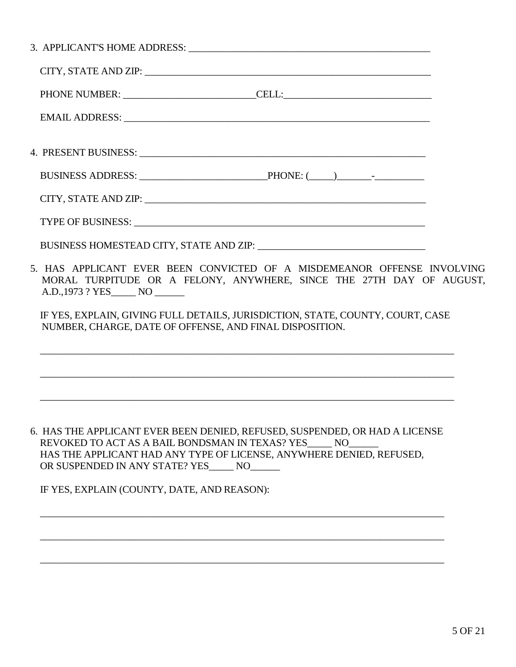| PHONE NUMBER: CELL:                                                                                                                                                                                                            |  |
|--------------------------------------------------------------------------------------------------------------------------------------------------------------------------------------------------------------------------------|--|
| EMAIL ADDRESS: New York Contract the Contract of the Contract of the Contract of the Contract of the Contract of the Contract of the Contract of the Contract of the Contract of the Contract of the Contract of the Contract  |  |
|                                                                                                                                                                                                                                |  |
|                                                                                                                                                                                                                                |  |
| CITY, STATE AND ZIP: University of the CITY, STATE AND ZIP:                                                                                                                                                                    |  |
|                                                                                                                                                                                                                                |  |
| BUSINESS HOMESTEAD CITY, STATE AND ZIP: University of the Media Media and Alexander Andrews Media and Alexander Andrews Media and Alexander Andrews Media and Alexander Andrews Media and Alexander Andrews Media and Alexande |  |
| 5. HAS APPLICANT EVER BEEN CONVICTED OF A MISDEMEANOR OFFENSE INVOLVING<br>MORAL TURPITUDE OR A FELONY, ANYWHERE, SINCE THE 27TH DAY OF AUGUST,<br>A.D., 1973 ? YES NO _________                                               |  |
| IF YES, EXPLAIN, GIVING FULL DETAILS, JURISDICTION, STATE, COUNTY, COURT, CASE<br>NUMBER, CHARGE, DATE OF OFFENSE, AND FINAL DISPOSITION.                                                                                      |  |
| <u> 1999 - 1999 - 1999 - 1999 - 1999 - 1999 - 1999 - 1999 - 1999 - 1999 - 1999 - 1999 - 1999 - 1999 - 1999 - 199</u>                                                                                                           |  |
|                                                                                                                                                                                                                                |  |
| 6. HAS THE APPLICANT EVER BEEN DENIED, REFUSED, SUSPENDED, OR HAD A LICENSE                                                                                                                                                    |  |

6. HAS THE APPLICANT EVER BEEN DENIED, REFUSED, SUSPENDED, OR HAD A LICENSE REVOKED TO ACT AS A BAIL BONDSMAN IN TEXAS? YES\_\_\_\_\_ NO\_\_\_\_\_\_ HAS THE APPLICANT HAD ANY TYPE OF LICENSE, ANYWHERE DENIED, REFUSED, OR SUSPENDED IN ANY STATE? YES\_\_\_\_\_ NO\_\_\_\_\_\_

 $\overline{\phantom{a}}$  ,  $\overline{\phantom{a}}$  ,  $\overline{\phantom{a}}$  ,  $\overline{\phantom{a}}$  ,  $\overline{\phantom{a}}$  ,  $\overline{\phantom{a}}$  ,  $\overline{\phantom{a}}$  ,  $\overline{\phantom{a}}$  ,  $\overline{\phantom{a}}$  ,  $\overline{\phantom{a}}$  ,  $\overline{\phantom{a}}$  ,  $\overline{\phantom{a}}$  ,  $\overline{\phantom{a}}$  ,  $\overline{\phantom{a}}$  ,  $\overline{\phantom{a}}$  ,  $\overline{\phantom{a}}$ 

 $\overline{\phantom{a}}$  ,  $\overline{\phantom{a}}$  ,  $\overline{\phantom{a}}$  ,  $\overline{\phantom{a}}$  ,  $\overline{\phantom{a}}$  ,  $\overline{\phantom{a}}$  ,  $\overline{\phantom{a}}$  ,  $\overline{\phantom{a}}$  ,  $\overline{\phantom{a}}$  ,  $\overline{\phantom{a}}$  ,  $\overline{\phantom{a}}$  ,  $\overline{\phantom{a}}$  ,  $\overline{\phantom{a}}$  ,  $\overline{\phantom{a}}$  ,  $\overline{\phantom{a}}$  ,  $\overline{\phantom{a}}$ 

 $\overline{\phantom{a}}$  ,  $\overline{\phantom{a}}$  ,  $\overline{\phantom{a}}$  ,  $\overline{\phantom{a}}$  ,  $\overline{\phantom{a}}$  ,  $\overline{\phantom{a}}$  ,  $\overline{\phantom{a}}$  ,  $\overline{\phantom{a}}$  ,  $\overline{\phantom{a}}$  ,  $\overline{\phantom{a}}$  ,  $\overline{\phantom{a}}$  ,  $\overline{\phantom{a}}$  ,  $\overline{\phantom{a}}$  ,  $\overline{\phantom{a}}$  ,  $\overline{\phantom{a}}$  ,  $\overline{\phantom{a}}$ 

IF YES, EXPLAIN (COUNTY, DATE, AND REASON):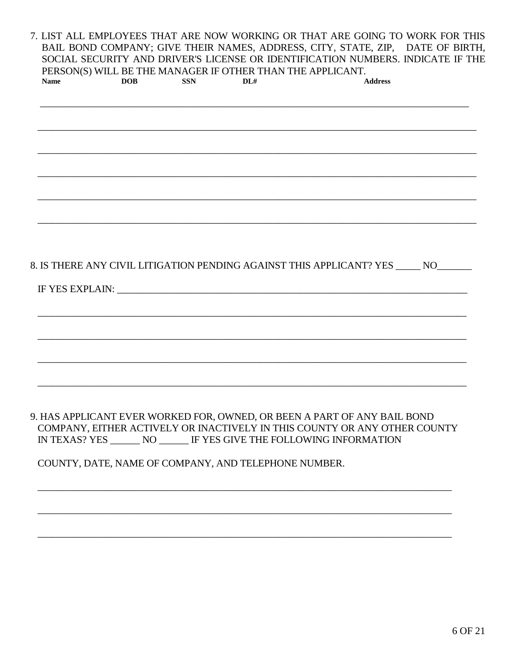7. LIST ALL EMPLOYEES THAT ARE NOW WORKING OR THAT ARE GOING TO WORK FOR THIS BAIL BOND COMPANY; GIVE THEIR NAMES, ADDRESS, CITY, STATE, ZIP, DATE OF BIRTH, SOCIAL SECURITY AND DRIVER'S LICENSE OR IDENTIFICATION NUMBERS. INDICATE IF THE PERSON(S) WILL BE THE MANAGER IF OTHER THAN THE APPLICANT. **DOB SSN**  $DI#$ **Address Name** 

# 8. IS THERE ANY CIVIL LITIGATION PENDING AGAINST THIS APPLICANT? YES NO

IF YES EXPLAIN: New YES EXPLAIN:

# 9. HAS APPLICANT EVER WORKED FOR, OWNED, OR BEEN A PART OF ANY BAIL BOND COMPANY, EITHER ACTIVELY OR INACTIVELY IN THIS COUNTY OR ANY OTHER COUNTY IN TEXAS? YES \_\_\_\_\_\_\_ NO \_\_\_\_\_\_ IF YES GIVE THE FOLLOWING INFORMATION

# COUNTY, DATE, NAME OF COMPANY, AND TELEPHONE NUMBER.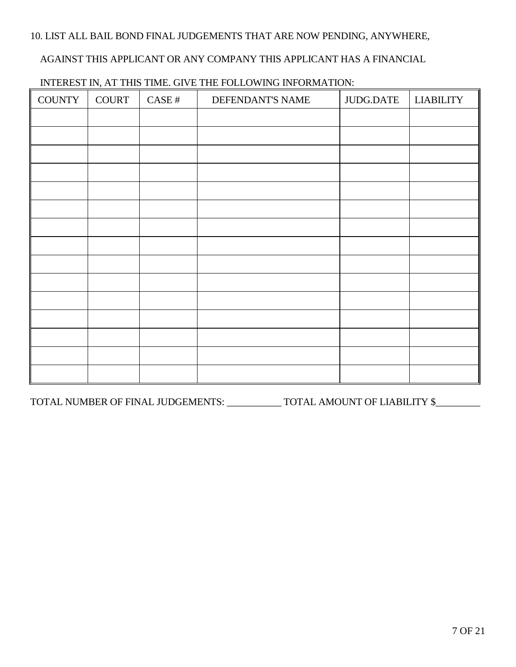## 10. LIST ALL BAIL BOND FINAL JUDGEMENTS THAT ARE NOW PENDING, ANYWHERE,

#### AGAINST THIS APPLICANT OR ANY COMPANY THIS APPLICANT HAS A FINANCIAL

| <b>COUNTY</b> | COURT | CASE# | DEFENDANT'S NAME | JUDG.DATE | <b>LIABILITY</b> |
|---------------|-------|-------|------------------|-----------|------------------|
|               |       |       |                  |           |                  |
|               |       |       |                  |           |                  |
|               |       |       |                  |           |                  |
|               |       |       |                  |           |                  |
|               |       |       |                  |           |                  |
|               |       |       |                  |           |                  |
|               |       |       |                  |           |                  |
|               |       |       |                  |           |                  |
|               |       |       |                  |           |                  |
|               |       |       |                  |           |                  |
|               |       |       |                  |           |                  |
|               |       |       |                  |           |                  |
|               |       |       |                  |           |                  |
|               |       |       |                  |           |                  |
|               |       |       |                  |           |                  |

#### INTEREST IN, AT THIS TIME. GIVE THE FOLLOWING INFORMATION:

TOTAL NUMBER OF FINAL JUDGEMENTS: \_\_\_\_\_\_\_\_\_\_\_ TOTAL AMOUNT OF LIABILITY \$\_\_\_\_\_\_\_\_\_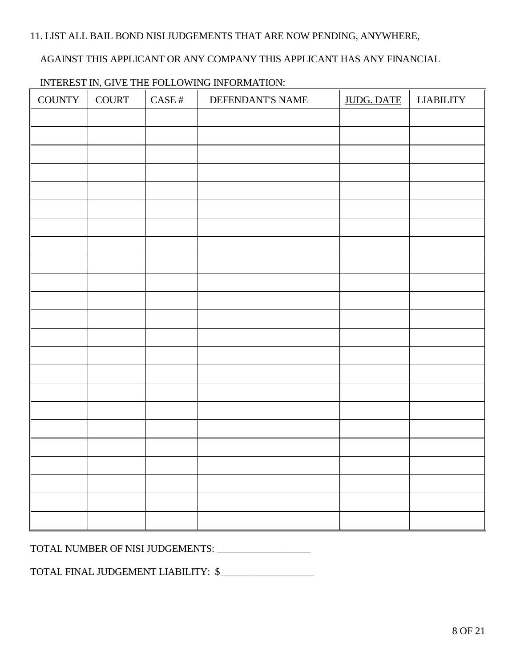# 11. LIST ALL BAIL BOND NISI JUDGEMENTS THAT ARE NOW PENDING, ANYWHERE,

#### AGAINST THIS APPLICANT OR ANY COMPANY THIS APPLICANT HAS ANY FINANCIAL

| <b>COUNTY</b> | <b>COURT</b> | $\operatorname{CASE}$ # | $\frac{1}{2}$<br>DEFENDANT'S NAME | <b>JUDG. DATE</b> | <b>LIABILITY</b> |
|---------------|--------------|-------------------------|-----------------------------------|-------------------|------------------|
|               |              |                         |                                   |                   |                  |
|               |              |                         |                                   |                   |                  |
|               |              |                         |                                   |                   |                  |
|               |              |                         |                                   |                   |                  |
|               |              |                         |                                   |                   |                  |
|               |              |                         |                                   |                   |                  |
|               |              |                         |                                   |                   |                  |
|               |              |                         |                                   |                   |                  |
|               |              |                         |                                   |                   |                  |
|               |              |                         |                                   |                   |                  |
|               |              |                         |                                   |                   |                  |
|               |              |                         |                                   |                   |                  |
|               |              |                         |                                   |                   |                  |
|               |              |                         |                                   |                   |                  |
|               |              |                         |                                   |                   |                  |
|               |              |                         |                                   |                   |                  |
|               |              |                         |                                   |                   |                  |
|               |              |                         |                                   |                   |                  |
|               |              |                         |                                   |                   |                  |
|               |              |                         |                                   |                   |                  |
|               |              |                         |                                   |                   |                  |
|               |              |                         |                                   |                   |                  |
|               |              |                         |                                   |                   |                  |

# INTEREST IN, GIVE THE FOLLOWING INFORMATION:

TOTAL NUMBER OF NISI JUDGEMENTS: \_\_\_\_\_\_\_\_\_\_\_\_\_\_\_\_\_\_\_

TOTAL FINAL JUDGEMENT LIABILITY: \$\_\_\_\_\_\_\_\_\_\_\_\_\_\_\_\_\_\_\_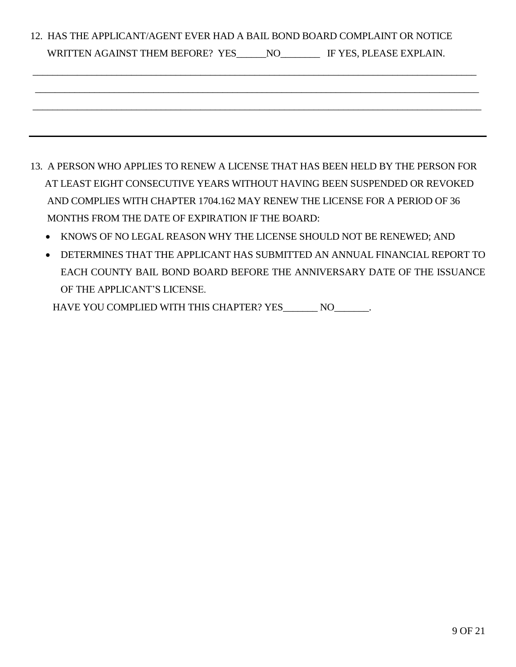| 12. HAS THE APPLICANT/AGENT EVER HAD A BAIL BOND BOARD COMPLAINT OR NOTICE |
|----------------------------------------------------------------------------|
| WRITTEN AGAINST THEM BEFORE? YES NO IF YES, PLEASE EXPLAIN.                |
|                                                                            |
|                                                                            |
|                                                                            |
|                                                                            |

- 13. A PERSON WHO APPLIES TO RENEW A LICENSE THAT HAS BEEN HELD BY THE PERSON FOR AT LEAST EIGHT CONSECUTIVE YEARS WITHOUT HAVING BEEN SUSPENDED OR REVOKED AND COMPLIES WITH CHAPTER 1704.162 MAY RENEW THE LICENSE FOR A PERIOD OF 36 MONTHS FROM THE DATE OF EXPIRATION IF THE BOARD:
	- KNOWS OF NO LEGAL REASON WHY THE LICENSE SHOULD NOT BE RENEWED; AND
	- DETERMINES THAT THE APPLICANT HAS SUBMITTED AN ANNUAL FINANCIAL REPORT TO EACH COUNTY BAIL BOND BOARD BEFORE THE ANNIVERSARY DATE OF THE ISSUANCE OF THE APPLICANT'S LICENSE.

HAVE YOU COMPLIED WITH THIS CHAPTER? YES NO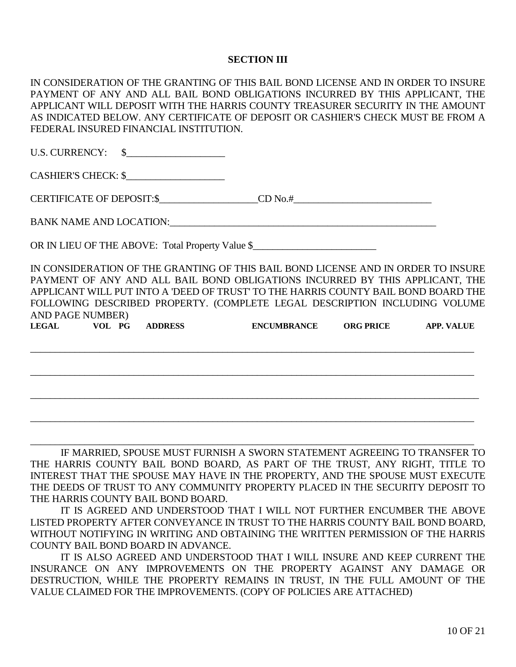#### **SECTION III**

| IN CONSIDERATION OF THE GRANTING OF THIS BAIL BOND LICENSE AND IN ORDER TO INSURE                                                                                                                                              |  |  |
|--------------------------------------------------------------------------------------------------------------------------------------------------------------------------------------------------------------------------------|--|--|
| PAYMENT OF ANY AND ALL BAIL BOND OBLIGATIONS INCURRED BY THIS APPLICANT, THE                                                                                                                                                   |  |  |
| APPLICANT WILL DEPOSIT WITH THE HARRIS COUNTY TREASURER SECURITY IN THE AMOUNT                                                                                                                                                 |  |  |
| AS INDICATED BELOW. ANY CERTIFICATE OF DEPOSIT OR CASHIER'S CHECK MUST BE FROM A                                                                                                                                               |  |  |
| FEDERAL INSURED FINANCIAL INSTITUTION.                                                                                                                                                                                         |  |  |
|                                                                                                                                                                                                                                |  |  |
| U.S. CURRENCY: $\quad \  \  \  \, \text{\ssim}$                                                                                                                                                                                |  |  |
|                                                                                                                                                                                                                                |  |  |
| CASHIER'S CHECK: \$                                                                                                                                                                                                            |  |  |
|                                                                                                                                                                                                                                |  |  |
| CERTIFICATE OF DEPOSIT:\$____________________CD No.#_____________________________                                                                                                                                              |  |  |
| BANK NAME AND LOCATION: University of the state of the state of the state of the state of the state of the state of the state of the state of the state of the state of the state of the state of the state of the state of th |  |  |
|                                                                                                                                                                                                                                |  |  |
| OR IN LIEU OF THE ABOVE: Total Property Value \$                                                                                                                                                                               |  |  |
|                                                                                                                                                                                                                                |  |  |
| IN CONSIDERATION OF THE GRANTING OF THIS BAIL BOND LICENSE AND IN ORDER TO INSURE                                                                                                                                              |  |  |
| PAYMENT OF ANY AND ALL BAIL BOND OBLIGATIONS INCURRED BY THIS APPLICANT, THE                                                                                                                                                   |  |  |
| APPLICANT WILL PUT INTO A 'DEED OF TRUST' TO THE HARRIS COUNTY BAIL BOND BOARD THE                                                                                                                                             |  |  |
| FOLLOWING DESCRIBED PROPERTY. (COMPLETE LEGAL DESCRIPTION INCLUDING VOLUME                                                                                                                                                     |  |  |
| <b>AND PAGE NUMBER)</b>                                                                                                                                                                                                        |  |  |
| LEGAL VOL PG ADDRESS ENCUMBRANCE ORG PRICE APP. VALUE                                                                                                                                                                          |  |  |
|                                                                                                                                                                                                                                |  |  |
|                                                                                                                                                                                                                                |  |  |
|                                                                                                                                                                                                                                |  |  |
|                                                                                                                                                                                                                                |  |  |
|                                                                                                                                                                                                                                |  |  |
|                                                                                                                                                                                                                                |  |  |
|                                                                                                                                                                                                                                |  |  |
|                                                                                                                                                                                                                                |  |  |

IF MARRIED, SPOUSE MUST FURNISH A SWORN STATEMENT AGREEING TO TRANSFER TO THE HARRIS COUNTY BAIL BOND BOARD, AS PART OF THE TRUST, ANY RIGHT, TITLE TO INTEREST THAT THE SPOUSE MAY HAVE IN THE PROPERTY, AND THE SPOUSE MUST EXECUTE THE DEEDS OF TRUST TO ANY COMMUNITY PROPERTY PLACED IN THE SECURITY DEPOSIT TO THE HARRIS COUNTY BAIL BOND BOARD.

 $\_$  , and the set of the set of the set of the set of the set of the set of the set of the set of the set of the set of the set of the set of the set of the set of the set of the set of the set of the set of the set of th

IT IS AGREED AND UNDERSTOOD THAT I WILL NOT FURTHER ENCUMBER THE ABOVE LISTED PROPERTY AFTER CONVEYANCE IN TRUST TO THE HARRIS COUNTY BAIL BOND BOARD, WITHOUT NOTIFYING IN WRITING AND OBTAINING THE WRITTEN PERMISSION OF THE HARRIS COUNTY BAIL BOND BOARD IN ADVANCE.

IT IS ALSO AGREED AND UNDERSTOOD THAT I WILL INSURE AND KEEP CURRENT THE INSURANCE ON ANY IMPROVEMENTS ON THE PROPERTY AGAINST ANY DAMAGE OR DESTRUCTION, WHILE THE PROPERTY REMAINS IN TRUST, IN THE FULL AMOUNT OF THE VALUE CLAIMED FOR THE IMPROVEMENTS. (COPY OF POLICIES ARE ATTACHED)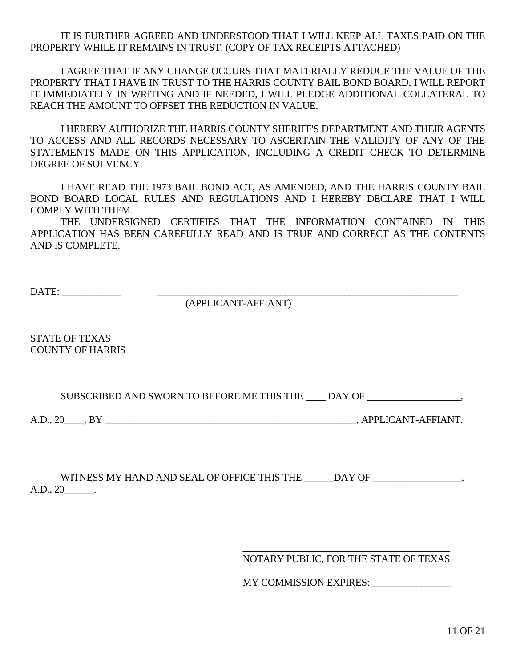IT IS FURTHER AGREED AND UNDERSTOOD THAT I WILL KEEP ALL TAXES PAID ON THE PROPERTY WHILE IT REMAINS IN TRUST. (COPY OF TAX RECEIPTS ATTACHED)

I AGREE THAT IF ANY CHANGE OCCURS THAT MATERIALLY REDUCE THE VALUE OF THE PROPERTY THAT I HAVE IN TRUST TO THE HARRIS COUNTY BAIL BOND BOARD, I WILL REPORT IT IMMEDIATELY IN WRITING AND IF NEEDED, I WILL PLEDGE ADDITIONAL COLLATERAL TO REACH THE AMOUNT TO OFFSET THE REDUCTION IN VALUE.

I HEREBY AUTHORIZE THE HARRIS COUNTY SHERIFF'S DEPARTMENT AND THEIR AGENTS TO ACCESS AND ALL RECORDS NECESSARY TO ASCERTAIN THE VALIDITY OF ANY OF THE STATEMENTS MADE ON THIS APPLICATION, INCLUDING A CREDIT CHECK TO DETERMINE DEGREE OF SOLVENCY.

I HAVE READ THE 1973 BAIL BOND ACT, AS AMENDED, AND THE HARRIS COUNTY BAIL BOND BOARD LOCAL RULES AND REGULATIONS AND I HEREBY DECLARE THAT I WILL COMPLY WITH THEM.

THE UNDERSIGNED CERTIFIES THAT THE INFORMATION CONTAINED IN THIS APPLICATION HAS BEEN CAREFULLY READ AND IS TRUE AND CORRECT AS THE CONTENTS AND IS COMPLETE.

DATE: \_\_\_\_\_\_\_\_\_\_\_\_ \_\_\_\_\_\_\_\_\_\_\_\_\_\_\_\_\_\_\_\_\_\_\_\_\_\_\_\_\_\_\_\_\_\_\_\_\_\_\_\_\_\_\_\_\_\_\_\_\_\_\_\_\_\_\_\_\_\_\_\_\_

(APPLICANT-AFFIANT)

STATE OF TEXAS COUNTY OF HARRIS

SUBSCRIBED AND SWORN TO BEFORE ME THIS THE \_\_\_\_ DAY OF \_\_\_\_\_\_\_\_\_\_\_\_\_\_\_\_,

A.D., 20\_\_\_\_, BY \_\_\_\_\_\_\_\_\_\_\_\_\_\_\_\_\_\_\_\_\_\_\_\_\_\_\_\_\_\_\_\_\_\_\_\_\_\_\_\_\_\_\_\_\_\_\_\_\_\_\_, APPLICANT-AFFIANT.

WITNESS MY HAND AND SEAL OF OFFICE THIS THE \_\_\_\_\_\_DAY OF \_\_\_\_\_\_\_\_\_\_\_\_\_\_\_\_\_, A.D., 20\_\_\_\_\_\_.

> \_\_\_\_\_\_\_\_\_\_\_\_\_\_\_\_\_\_\_\_\_\_\_\_\_\_\_\_\_\_\_\_\_\_\_\_\_\_\_\_\_\_ NOTARY PUBLIC, FOR THE STATE OF TEXAS

> MY COMMISSION EXPIRES: \_\_\_\_\_\_\_\_\_\_\_\_\_\_\_\_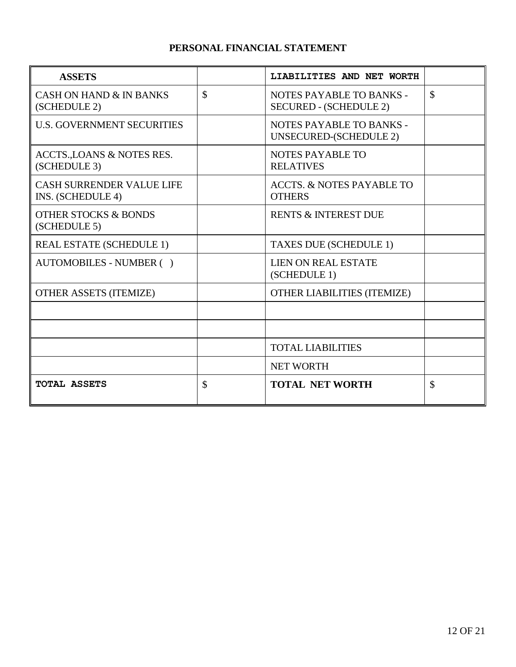# **PERSONAL FINANCIAL STATEMENT**

| <b>ASSETS</b>                                         |               | LIABILITIES AND NET WORTH                                 |               |
|-------------------------------------------------------|---------------|-----------------------------------------------------------|---------------|
| <b>CASH ON HAND &amp; IN BANKS</b><br>(SCHEDULE 2)    | $\mathcal{S}$ | NOTES PAYABLE TO BANKS -<br><b>SECURED - (SCHEDULE 2)</b> | $\mathcal{S}$ |
| <b>U.S. GOVERNMENT SECURITIES</b>                     |               | NOTES PAYABLE TO BANKS -<br>UNSECURED-(SCHEDULE 2)        |               |
| ACCTS., LOANS & NOTES RES.<br>(SCHEDULE 3)            |               | <b>NOTES PAYABLE TO</b><br><b>RELATIVES</b>               |               |
| <b>CASH SURRENDER VALUE LIFE</b><br>INS. (SCHEDULE 4) |               | <b>ACCTS. &amp; NOTES PAYABLE TO</b><br><b>OTHERS</b>     |               |
| <b>OTHER STOCKS &amp; BONDS</b><br>(SCHEDULE 5)       |               | <b>RENTS &amp; INTEREST DUE</b>                           |               |
| <b>REAL ESTATE (SCHEDULE 1)</b>                       |               | TAXES DUE (SCHEDULE 1)                                    |               |
| AUTOMOBILES - NUMBER ()                               |               | <b>LIEN ON REAL ESTATE</b><br>(SCHEDULE 1)                |               |
| <b>OTHER ASSETS (ITEMIZE)</b>                         |               | <b>OTHER LIABILITIES (ITEMIZE)</b>                        |               |
|                                                       |               |                                                           |               |
|                                                       |               |                                                           |               |
|                                                       |               | <b>TOTAL LIABILITIES</b>                                  |               |
|                                                       |               | <b>NET WORTH</b>                                          |               |
| <b>TOTAL ASSETS</b>                                   | $\mathcal{S}$ | <b>TOTAL NET WORTH</b>                                    | \$            |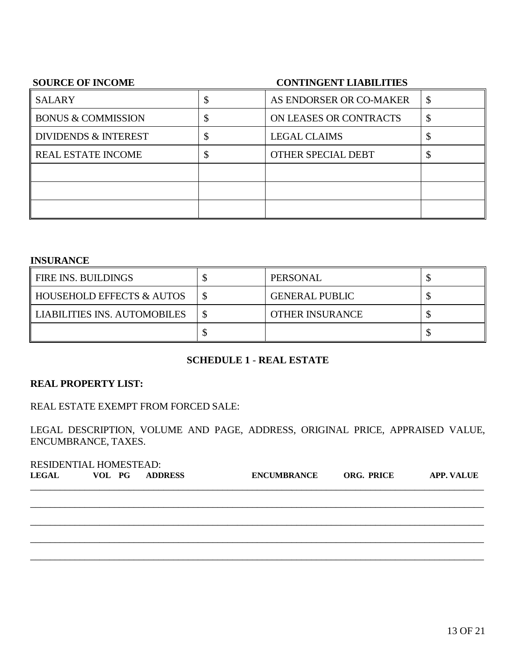#### **SOURCE OF INCOME CONTINGENT LIABILITIES**

| <b>SALARY</b>                   |    | AS ENDORSER OR CO-MAKER | \$ |
|---------------------------------|----|-------------------------|----|
| <b>BONUS &amp; COMMISSION</b>   | κĐ | ON LEASES OR CONTRACTS  | \$ |
| <b>DIVIDENDS &amp; INTEREST</b> |    | <b>LEGAL CLAIMS</b>     | ◡  |
| <b>REAL ESTATE INCOME</b>       |    | OTHER SPECIAL DEBT      | D  |
|                                 |    |                         |    |
|                                 |    |                         |    |
|                                 |    |                         |    |

#### **INSURANCE**

| FIRE INS. BUILDINGS          |         | PERSONAL               |  |
|------------------------------|---------|------------------------|--|
| HOUSEHOLD EFFECTS & AUTOS    |         | <b>GENERAL PUBLIC</b>  |  |
| LIABILITIES INS. AUTOMOBILES | ¢<br>ъD | <b>OTHER INSURANCE</b> |  |
|                              |         |                        |  |

# **SCHEDULE 1** - **REAL ESTATE**

#### **REAL PROPERTY LIST:**

REAL ESTATE EXEMPT FROM FORCED SALE:

LEGAL DESCRIPTION, VOLUME AND PAGE, ADDRESS, ORIGINAL PRICE, APPRAISED VALUE, ENCUMBRANCE, TAXES.

| RESIDENTIAL HOMESTEAD: |        |  |                |                    |                   |                   |
|------------------------|--------|--|----------------|--------------------|-------------------|-------------------|
| <b>LEGAL</b>           | VOL PG |  | <b>ADDRESS</b> | <b>ENCUMBRANCE</b> | <b>ORG. PRICE</b> | <b>APP. VALUE</b> |
|                        |        |  |                |                    |                   |                   |
|                        |        |  |                |                    |                   |                   |
|                        |        |  |                |                    |                   |                   |
|                        |        |  |                |                    |                   |                   |
|                        |        |  |                |                    |                   |                   |
|                        |        |  |                |                    |                   |                   |
|                        |        |  |                |                    |                   |                   |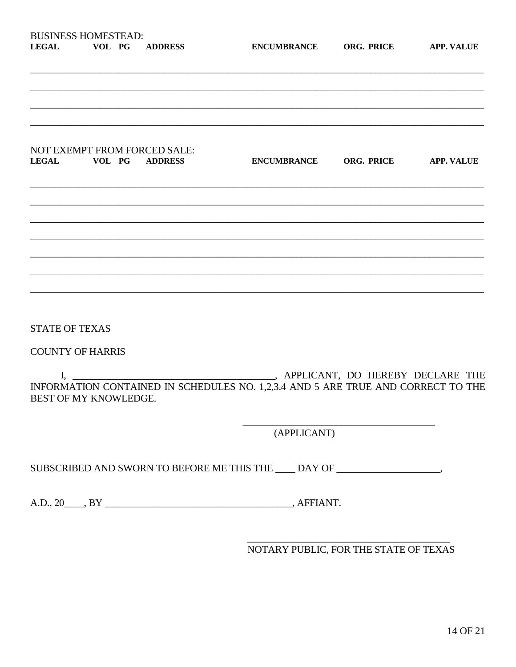| <b>BUSINESS HOMESTEAD:</b> |        |                |  |
|----------------------------|--------|----------------|--|
| <b>LEGAL</b>               | VOL PG | <b>ADDRESS</b> |  |

ENCUMBRANCE ORG. PRICE APP. VALUE

#### NOT EXEMPT FROM FORCED SALE: **LEGAL** VOL PG ADDRESS

**STATE OF TEXAS** 

**COUNTY OF HARRIS** 

APPLICANT, DO HEREBY DECLARE THE  $\mathbf{I},$ INFORMATION CONTAINED IN SCHEDULES NO. 1,2,3.4 AND 5 ARE TRUE AND CORRECT TO THE BEST OF MY KNOWLEDGE.

(APPLICANT)

SUBSCRIBED AND SWORN TO BEFORE ME THIS THE DAY OF

NOTARY PUBLIC, FOR THE STATE OF TEXAS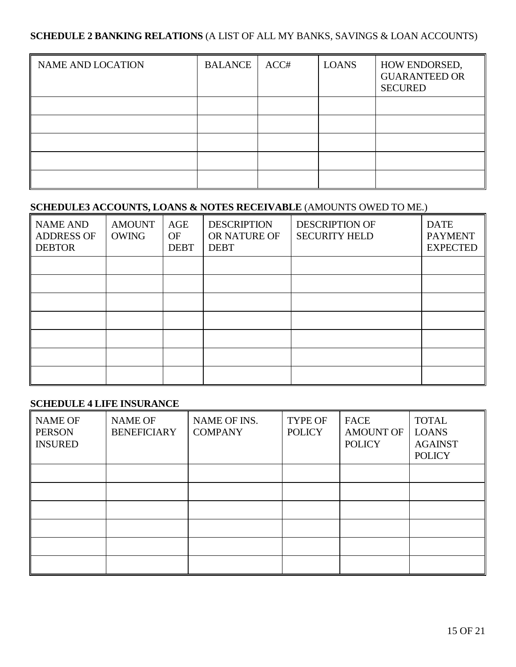### **SCHEDULE 2 BANKING RELATIONS** (A LIST OF ALL MY BANKS, SAVINGS & LOAN ACCOUNTS)

| <b>NAME AND LOCATION</b> | <b>BALANCE</b> | ACC# | <b>LOANS</b> | HOW ENDORSED,<br><b>GUARANTEED OR</b><br><b>SECURED</b> |
|--------------------------|----------------|------|--------------|---------------------------------------------------------|
|                          |                |      |              |                                                         |
|                          |                |      |              |                                                         |
|                          |                |      |              |                                                         |
|                          |                |      |              |                                                         |
|                          |                |      |              |                                                         |

# **SCHEDULE3 ACCOUNTS, LOANS & NOTES RECEIVABLE** (AMOUNTS OWED TO ME.)

| <b>NAME AND</b><br><b>ADDRESS OF</b><br><b>DEBTOR</b> | <b>AMOUNT</b><br><b>OWING</b> | AGE<br><b>OF</b><br><b>DEBT</b> | <b>DESCRIPTION</b><br>OR NATURE OF<br><b>DEBT</b> | <b>DESCRIPTION OF</b><br><b>SECURITY HELD</b> | <b>DATE</b><br><b>PAYMENT</b><br><b>EXPECTED</b> |
|-------------------------------------------------------|-------------------------------|---------------------------------|---------------------------------------------------|-----------------------------------------------|--------------------------------------------------|
|                                                       |                               |                                 |                                                   |                                               |                                                  |
|                                                       |                               |                                 |                                                   |                                               |                                                  |
|                                                       |                               |                                 |                                                   |                                               |                                                  |
|                                                       |                               |                                 |                                                   |                                               |                                                  |
|                                                       |                               |                                 |                                                   |                                               |                                                  |
|                                                       |                               |                                 |                                                   |                                               |                                                  |
|                                                       |                               |                                 |                                                   |                                               |                                                  |

#### **SCHEDULE 4 LIFE INSURANCE**

| <b>NAME OF</b><br><b>PERSON</b><br><b>INSURED</b> | <b>NAME OF</b><br><b>BENEFICIARY</b> | NAME OF INS.<br><b>COMPANY</b> | <b>TYPE OF</b><br><b>POLICY</b> | <b>FACE</b><br><b>AMOUNT OF</b><br><b>POLICY</b> | <b>TOTAL</b><br><b>LOANS</b><br><b>AGAINST</b><br><b>POLICY</b> |
|---------------------------------------------------|--------------------------------------|--------------------------------|---------------------------------|--------------------------------------------------|-----------------------------------------------------------------|
|                                                   |                                      |                                |                                 |                                                  |                                                                 |
|                                                   |                                      |                                |                                 |                                                  |                                                                 |
|                                                   |                                      |                                |                                 |                                                  |                                                                 |
|                                                   |                                      |                                |                                 |                                                  |                                                                 |
|                                                   |                                      |                                |                                 |                                                  |                                                                 |
|                                                   |                                      |                                |                                 |                                                  |                                                                 |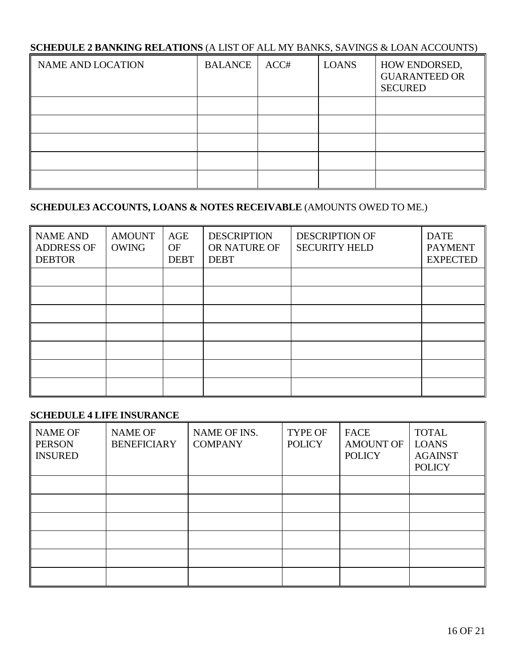# **SCHEDULE 2 BANKING RELATIONS** (A LIST OF ALL MY BANKS, SAVINGS & LOAN ACCOUNTS)

| <b>NAME AND LOCATION</b> | <b>BALANCE</b> | ACC# | <b>LOANS</b> | HOW ENDORSED,<br><b>GUARANTEED OR</b><br><b>SECURED</b> |
|--------------------------|----------------|------|--------------|---------------------------------------------------------|
|                          |                |      |              |                                                         |
|                          |                |      |              |                                                         |
|                          |                |      |              |                                                         |
|                          |                |      |              |                                                         |
|                          |                |      |              |                                                         |

# **SCHEDULE3 ACCOUNTS, LOANS & NOTES RECEIVABLE** (AMOUNTS OWED TO ME.)

| <b>NAME AND</b><br><b>ADDRESS OF</b><br><b>DEBTOR</b> | <b>AMOUNT</b><br><b>OWING</b> | AGE<br><b>OF</b><br><b>DEBT</b> | <b>DESCRIPTION</b><br>OR NATURE OF<br><b>DEBT</b> | <b>DESCRIPTION OF</b><br><b>SECURITY HELD</b> | <b>DATE</b><br><b>PAYMENT</b><br><b>EXPECTED</b> |
|-------------------------------------------------------|-------------------------------|---------------------------------|---------------------------------------------------|-----------------------------------------------|--------------------------------------------------|
|                                                       |                               |                                 |                                                   |                                               |                                                  |
|                                                       |                               |                                 |                                                   |                                               |                                                  |
|                                                       |                               |                                 |                                                   |                                               |                                                  |
|                                                       |                               |                                 |                                                   |                                               |                                                  |
|                                                       |                               |                                 |                                                   |                                               |                                                  |
|                                                       |                               |                                 |                                                   |                                               |                                                  |
|                                                       |                               |                                 |                                                   |                                               |                                                  |

# **SCHEDULE 4 LIFE INSURANCE**

| <b>NAME OF</b><br><b>PERSON</b><br><b>INSURED</b> | <b>NAME OF</b><br><b>BENEFICIARY</b> | NAME OF INS.<br><b>COMPANY</b> | <b>TYPE OF</b><br><b>POLICY</b> | <b>FACE</b><br><b>AMOUNT OF</b><br><b>POLICY</b> | <b>TOTAL</b><br><b>LOANS</b><br><b>AGAINST</b><br><b>POLICY</b> |
|---------------------------------------------------|--------------------------------------|--------------------------------|---------------------------------|--------------------------------------------------|-----------------------------------------------------------------|
|                                                   |                                      |                                |                                 |                                                  |                                                                 |
|                                                   |                                      |                                |                                 |                                                  |                                                                 |
|                                                   |                                      |                                |                                 |                                                  |                                                                 |
|                                                   |                                      |                                |                                 |                                                  |                                                                 |
|                                                   |                                      |                                |                                 |                                                  |                                                                 |
|                                                   |                                      |                                |                                 |                                                  |                                                                 |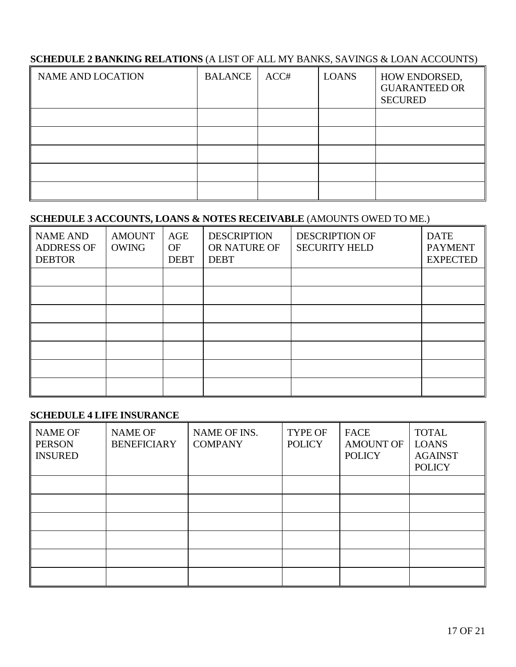# **SCHEDULE 2 BANKING RELATIONS** (A LIST OF ALL MY BANKS, SAVINGS & LOAN ACCOUNTS)

| <b>NAME AND LOCATION</b> | <b>BALANCE</b> | ACC# | <b>LOANS</b> | HOW ENDORSED,<br><b>GUARANTEED OR</b><br><b>SECURED</b> |
|--------------------------|----------------|------|--------------|---------------------------------------------------------|
|                          |                |      |              |                                                         |
|                          |                |      |              |                                                         |
|                          |                |      |              |                                                         |
|                          |                |      |              |                                                         |
|                          |                |      |              |                                                         |

# **SCHEDULE 3 ACCOUNTS, LOANS & NOTES RECEIVABLE** (AMOUNTS OWED TO ME.)

| <b>NAME AND</b><br><b>ADDRESS OF</b><br><b>DEBTOR</b> | <b>AMOUNT</b><br><b>OWING</b> | AGE<br><b>OF</b><br><b>DEBT</b> | <b>DESCRIPTION</b><br>OR NATURE OF<br><b>DEBT</b> | <b>DESCRIPTION OF</b><br><b>SECURITY HELD</b> | <b>DATE</b><br><b>PAYMENT</b><br><b>EXPECTED</b> |
|-------------------------------------------------------|-------------------------------|---------------------------------|---------------------------------------------------|-----------------------------------------------|--------------------------------------------------|
|                                                       |                               |                                 |                                                   |                                               |                                                  |
|                                                       |                               |                                 |                                                   |                                               |                                                  |
|                                                       |                               |                                 |                                                   |                                               |                                                  |
|                                                       |                               |                                 |                                                   |                                               |                                                  |
|                                                       |                               |                                 |                                                   |                                               |                                                  |
|                                                       |                               |                                 |                                                   |                                               |                                                  |
|                                                       |                               |                                 |                                                   |                                               |                                                  |

#### **SCHEDULE 4 LIFE INSURANCE**

| <b>NAME OF</b><br><b>PERSON</b><br><b>INSURED</b> | <b>NAME OF</b><br><b>BENEFICIARY</b> | NAME OF INS.<br><b>COMPANY</b> | <b>TYPE OF</b><br><b>POLICY</b> | <b>FACE</b><br><b>AMOUNT OF</b><br><b>POLICY</b> | <b>TOTAL</b><br><b>LOANS</b><br><b>AGAINST</b><br><b>POLICY</b> |
|---------------------------------------------------|--------------------------------------|--------------------------------|---------------------------------|--------------------------------------------------|-----------------------------------------------------------------|
|                                                   |                                      |                                |                                 |                                                  |                                                                 |
|                                                   |                                      |                                |                                 |                                                  |                                                                 |
|                                                   |                                      |                                |                                 |                                                  |                                                                 |
|                                                   |                                      |                                |                                 |                                                  |                                                                 |
|                                                   |                                      |                                |                                 |                                                  |                                                                 |
|                                                   |                                      |                                |                                 |                                                  |                                                                 |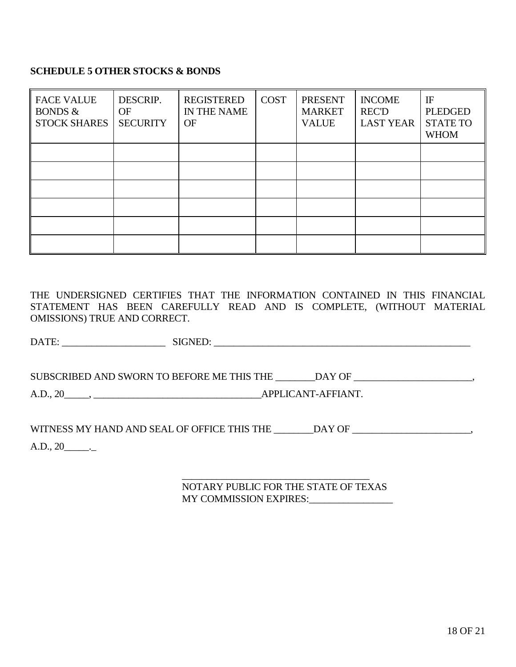#### **SCHEDULE 5 OTHER STOCKS & BONDS**

| <b>FACE VALUE</b><br><b>BONDS &amp;</b><br><b>STOCK SHARES</b> | DESCRIP.<br><b>OF</b><br><b>SECURITY</b> | <b>REGISTERED</b><br>IN THE NAME<br>OF | <b>COST</b> | <b>PRESENT</b><br><b>MARKET</b><br><b>VALUE</b> | <b>INCOME</b><br><b>REC'D</b><br><b>LAST YEAR</b> | $_{\rm IF}$<br><b>PLEDGED</b><br><b>STATE TO</b><br><b>WHOM</b> |
|----------------------------------------------------------------|------------------------------------------|----------------------------------------|-------------|-------------------------------------------------|---------------------------------------------------|-----------------------------------------------------------------|
|                                                                |                                          |                                        |             |                                                 |                                                   |                                                                 |
|                                                                |                                          |                                        |             |                                                 |                                                   |                                                                 |
|                                                                |                                          |                                        |             |                                                 |                                                   |                                                                 |
|                                                                |                                          |                                        |             |                                                 |                                                   |                                                                 |
|                                                                |                                          |                                        |             |                                                 |                                                   |                                                                 |

THE UNDERSIGNED CERTIFIES THAT THE INFORMATION CONTAINED IN THIS FINANCIAL STATEMENT HAS BEEN CAREFULLY READ AND IS COMPLETE, (WITHOUT MATERIAL OMISSIONS) TRUE AND CORRECT.

DATE: \_\_\_\_\_\_\_\_\_\_\_\_\_\_\_\_\_\_\_\_\_ SIGNED: \_\_\_\_\_\_\_\_\_\_\_\_\_\_\_\_\_\_\_\_\_\_\_\_\_\_\_\_\_\_\_\_\_\_\_\_\_\_\_\_\_\_\_\_\_\_\_\_\_\_\_\_

SUBSCRIBED AND SWORN TO BEFORE ME THIS THE \_\_\_\_\_\_\_DAY OF \_\_\_\_\_\_\_\_\_\_\_\_\_\_\_\_\_\_\_\_\_\_\_,

A.D., 20\_\_\_\_\_, \_\_\_\_\_\_\_\_\_\_\_\_\_\_\_\_\_\_\_\_\_\_\_\_\_\_\_\_\_\_\_\_\_\_APPLICANT-AFFIANT.

WITNESS MY HAND AND SEAL OF OFFICE THIS THE \_\_\_\_\_\_\_DAY OF \_\_\_\_\_\_\_\_\_\_\_\_\_\_\_\_\_\_\_\_\_\_,

 $A.D., 20$ <sub>\_\_\_\_\_\_\_\_\_</sub>

\_\_\_\_\_\_\_\_\_\_\_\_\_\_\_\_\_\_\_\_\_\_\_\_\_\_\_\_\_\_\_\_\_\_\_\_\_\_ NOTARY PUBLIC FOR THE STATE OF TEXAS MY COMMISSION EXPIRES: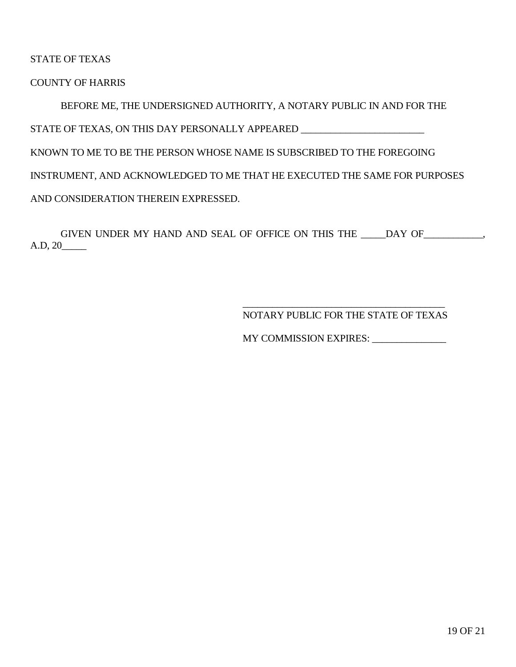STATE OF TEXAS

COUNTY OF HARRIS

BEFORE ME, THE UNDERSIGNED AUTHORITY, A NOTARY PUBLIC IN AND FOR THE STATE OF TEXAS, ON THIS DAY PERSONALLY APPEARED \_\_\_\_\_\_\_\_\_\_\_\_\_\_\_\_\_\_\_\_\_\_\_\_\_\_\_\_\_\_\_\_ KNOWN TO ME TO BE THE PERSON WHOSE NAME IS SUBSCRIBED TO THE FOREGOING INSTRUMENT, AND ACKNOWLEDGED TO ME THAT HE EXECUTED THE SAME FOR PURPOSES AND CONSIDERATION THEREIN EXPRESSED.

GIVEN UNDER MY HAND AND SEAL OF OFFICE ON THIS THE \_\_\_\_\_DAY OF\_\_\_\_\_\_\_\_\_\_\_\_, A.D, 20\_\_\_\_\_

> \_\_\_\_\_\_\_\_\_\_\_\_\_\_\_\_\_\_\_\_\_\_\_\_\_\_\_\_\_\_\_\_\_\_\_\_\_\_\_\_\_ NOTARY PUBLIC FOR THE STATE OF TEXAS

MY COMMISSION EXPIRES: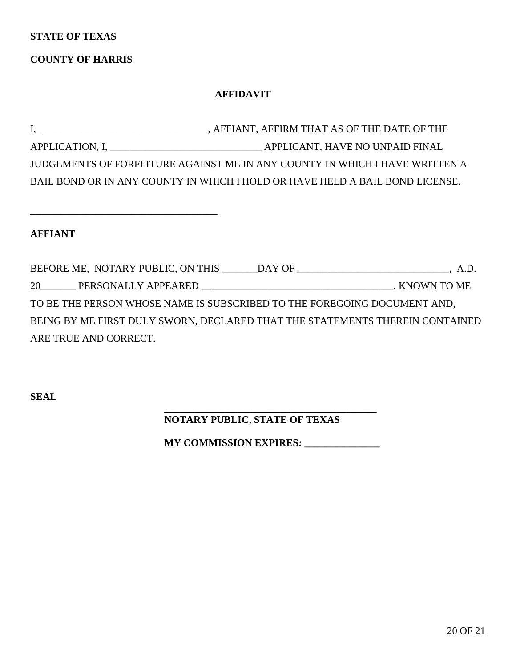#### **STATE OF TEXAS**

# **COUNTY OF HARRIS**

\_\_\_\_\_\_\_\_\_\_\_\_\_\_\_\_\_\_\_\_\_\_\_\_\_\_\_\_\_\_\_\_\_\_\_\_\_

#### **AFFIDAVIT**

I, \_\_\_\_\_\_\_\_\_\_\_\_\_\_\_\_\_\_\_\_\_\_\_\_\_\_\_\_\_\_\_\_\_, AFFIANT, AFFIRM THAT AS OF THE DATE OF THE APPLICATION, I, \_\_\_\_\_\_\_\_\_\_\_\_\_\_\_\_\_\_\_\_\_\_\_\_\_\_\_\_\_\_ APPLICANT, HAVE NO UNPAID FINAL JUDGEMENTS OF FORFEITURE AGAINST ME IN ANY COUNTY IN WHICH I HAVE WRITTEN A BAIL BOND OR IN ANY COUNTY IN WHICH I HOLD OR HAVE HELD A BAIL BOND LICENSE.

**AFFIANT**

BEFORE ME, NOTARY PUBLIC, ON THIS \_\_\_\_\_\_DAY OF \_\_\_\_\_\_\_\_\_\_\_\_\_\_\_\_\_\_\_\_\_\_\_\_\_\_\_, A.D. 20\_\_\_\_\_\_\_ PERSONALLY APPEARED \_\_\_\_\_\_\_\_\_\_\_\_\_\_\_\_\_\_\_\_\_\_\_\_\_\_\_\_\_\_\_\_\_\_\_\_\_\_, KNOWN TO ME TO BE THE PERSON WHOSE NAME IS SUBSCRIBED TO THE FOREGOING DOCUMENT AND, BEING BY ME FIRST DULY SWORN, DECLARED THAT THE STATEMENTS THEREIN CONTAINED ARE TRUE AND CORRECT.

**SEAL** 

#### **\_\_\_\_\_\_\_\_\_\_\_\_\_\_\_\_\_\_\_\_\_\_\_\_\_\_\_\_\_\_\_\_\_\_\_\_\_\_\_\_\_\_ NOTARY PUBLIC, STATE OF TEXAS**

 **MY COMMISSION EXPIRES: \_\_\_\_\_\_\_\_\_\_\_\_\_\_\_**